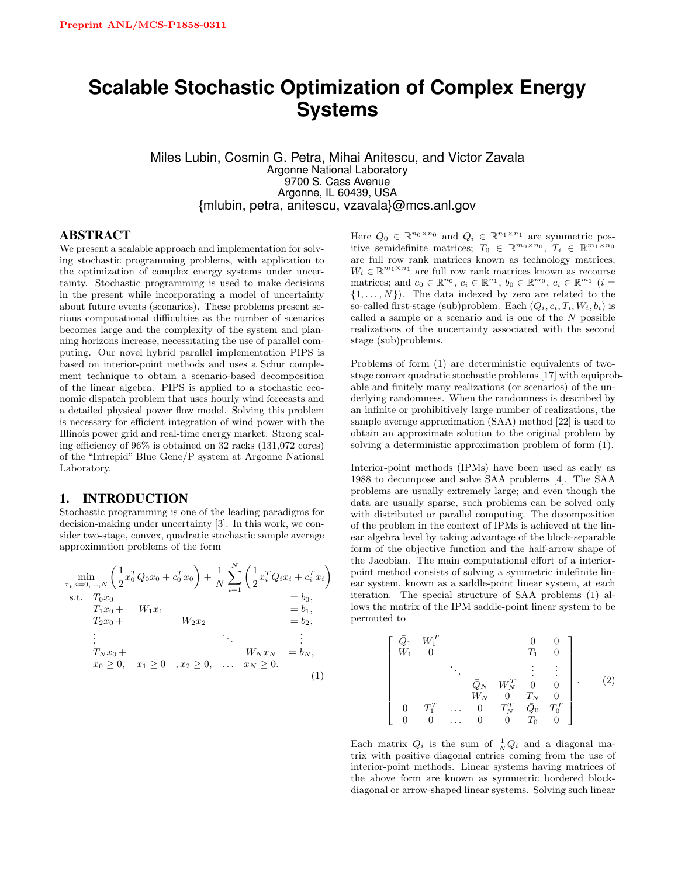# **Scalable Stochastic Optimization of Complex Energy Systems**

Miles Lubin, Cosmin G. Petra, Mihai Anitescu, and Victor Zavala Argonne National Laboratory 9700 S. Cass Avenue Argonne, IL 60439, USA {mlubin, petra, anitescu, vzavala}@mcs.anl.gov

#### ABSTRACT

We present a scalable approach and implementation for solving stochastic programming problems, with application to the optimization of complex energy systems under uncertainty. Stochastic programming is used to make decisions in the present while incorporating a model of uncertainty about future events (scenarios). These problems present serious computational difficulties as the number of scenarios becomes large and the complexity of the system and planning horizons increase, necessitating the use of parallel computing. Our novel hybrid parallel implementation PIPS is based on interior-point methods and uses a Schur complement technique to obtain a scenario-based decomposition of the linear algebra. PIPS is applied to a stochastic economic dispatch problem that uses hourly wind forecasts and a detailed physical power flow model. Solving this problem is necessary for efficient integration of wind power with the Illinois power grid and real-time energy market. Strong scaling efficiency of 96% is obtained on 32 racks (131,072 cores) of the "Intrepid" Blue Gene/P system at Argonne National Laboratory.

#### 1. INTRODUCTION

Stochastic programming is one of the leading paradigms for decision-making under uncertainty [3]. In this work, we consider two-stage, convex, quadratic stochastic sample average approximation problems of the form

$$
\min_{x_i, i=0,...,N} \left( \frac{1}{2} x_0^T Q_0 x_0 + c_0^T x_0 \right) + \frac{1}{N} \sum_{i=1}^N \left( \frac{1}{2} x_i^T Q_i x_i + c_i^T x_i \right)
$$
\n
$$
\text{s.t. } T_0 x_0 = b_0,
$$
\n
$$
T_1 x_0 + W_1 x_1 = b_1,
$$
\n
$$
T_2 x_0 + W_2 x_2 = b_2,
$$
\n
$$
\vdots
$$
\n
$$
T_N x_0 + \dots
$$
\n
$$
x_0 \ge 0, \quad x_1 \ge 0 \quad, x_2 \ge 0, \quad \dots \quad x_N \ge 0.
$$
\n
$$
(1)
$$

Here  $Q_0 \in \mathbb{R}^{n_0 \times n_0}$  and  $Q_i \in \mathbb{R}^{n_1 \times n_1}$  are symmetric positive semidefinite matrices;  $T_0 \in \mathbb{R}^{m_0 \times n_0}$ ,  $T_i \in \mathbb{R}^{m_1 \times n_0}$ are full row rank matrices known as technology matrices;  $W_i \in \mathbb{R}^{m_1 \times n_1}$  are full row rank matrices known as recourse matrices; and  $c_0 \in \mathbb{R}^{n_0}$ ,  $c_i \in \mathbb{R}^{n_1}$ ,  $b_0 \in \mathbb{R}^{m_0}$ ,  $c_i \in \mathbb{R}^{m_1}$   $(i =$  $\{1, \ldots, N\}$ . The data indexed by zero are related to the so-called first-stage (sub)problem. Each  $(Q_i, c_i, T_i, W_i, b_i)$  is called a sample or a scenario and is one of the  $N$  possible realizations of the uncertainty associated with the second stage (sub)problems.

Problems of form (1) are deterministic equivalents of twostage convex quadratic stochastic problems [17] with equiprobable and finitely many realizations (or scenarios) of the underlying randomness. When the randomness is described by an infinite or prohibitively large number of realizations, the sample average approximation (SAA) method [22] is used to obtain an approximate solution to the original problem by solving a deterministic approximation problem of form (1).

Interior-point methods (IPMs) have been used as early as 1988 to decompose and solve SAA problems [4]. The SAA problems are usually extremely large; and even though the data are usually sparse, such problems can be solved only with distributed or parallel computing. The decomposition of the problem in the context of IPMs is achieved at the linear algebra level by taking advantage of the block-separable form of the objective function and the half-arrow shape of the Jacobian. The main computational effort of a interiorpoint method consists of solving a symmetric indefinite linear system, known as a saddle-point linear system, at each iteration. The special structure of SAA problems (1) allows the matrix of the IPM saddle-point linear system to be permuted to

$$
\begin{bmatrix}\n\bar{Q}_1 & W_1^T & 0 & 0 \\
W_1 & 0 & T_1 & 0 \\
& \ddots & \vdots & \vdots \\
& \bar{Q}_N & W_N^T & 0 & 0 \\
& W_N & 0 & T_N & 0 \\
& W_N & 0 & T_N & 0 \\
0 & T_1^T & \cdots & 0 & T_N^T & \bar{Q}_0 & T_0^T \\
& 0 & 0 & \cdots & 0 & 0 & T_0 & 0\n\end{bmatrix}.
$$
\n(2)

Each matrix  $\overline{Q}_i$  is the sum of  $\frac{1}{N}Q_i$  and a diagonal matrix with positive diagonal entries coming from the use of interior-point methods. Linear systems having matrices of the above form are known as symmetric bordered blockdiagonal or arrow-shaped linear systems. Solving such linear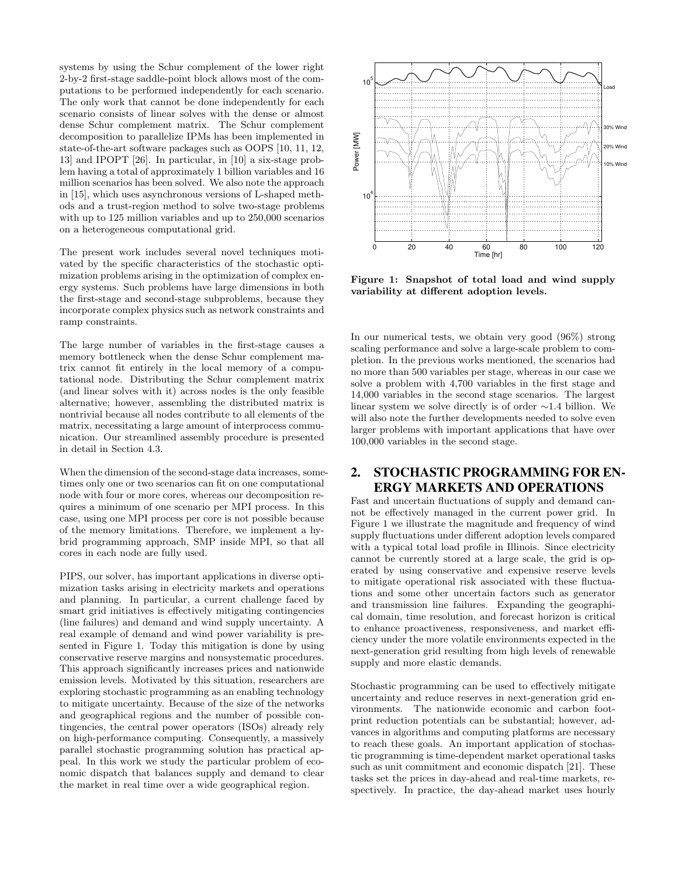systems by using the Schur complement of the lower right 2-by-2 first-stage saddle-point block allows most of the computations to be performed independently for each scenario. The only work that cannot be done independently for each scenario consists of linear solves with the dense or almost dense Schur complement matrix. The Schur complement decomposition to parallelize IPMs has been implemented in state-of-the-art software packages such as OOPS [10, 11, 12, 13] and IPOPT [26]. In particular, in [10] a six-stage problem having a total of approximately 1 billion variables and 16 million scenarios has been solved. We also note the approach in [15], which uses asynchronous versions of L-shaped methods and a trust-region method to solve two-stage problems with up to 125 million variables and up to 250,000 scenarios on a heterogeneous computational grid.

The present work includes several novel techniques motivated by the specific characteristics of the stochastic optimization problems arising in the optimization of complex energy systems. Such problems have large dimensions in both the first-stage and second-stage subproblems, because they incorporate complex physics such as network constraints and ramp constraints.

The large number of variables in the first-stage causes a memory bottleneck when the dense Schur complement matrix cannot fit entirely in the local memory of a computational node. Distributing the Schur complement matrix (and linear solves with it) across nodes is the only feasible alternative; however, assembling the distributed matrix is nontrivial because all nodes contribute to all elements of the matrix, necessitating a large amount of interprocess communication. Our streamlined assembly procedure is presented in detail in Section 4.3.

When the dimension of the second-stage data increases, sometimes only one or two scenarios can fit on one computational node with four or more cores, whereas our decomposition requires a minimum of one scenario per MPI process. In this case, using one MPI process per core is not possible because of the memory limitations. Therefore, we implement a hybrid programming approach, SMP inside MPI, so that all cores in each node are fully used.

PIPS, our solver, has important applications in diverse optimization tasks arising in electricity markets and operations and planning. In particular, a current challenge faced by smart grid initiatives is effectively mitigating contingencies (line failures) and demand and wind supply uncertainty. A real example of demand and wind power variability is presented in Figure 1. Today this mitigation is done by using conservative reserve margins and nonsystematic procedures. This approach significantly increases prices and nationwide emission levels. Motivated by this situation, researchers are exploring stochastic programming as an enabling technology to mitigate uncertainty. Because of the size of the networks and geographical regions and the number of possible contingencies, the central power operators (ISOs) already rely on high-performance computing. Consequently, a massively parallel stochastic programming solution has practical appeal. In this work we study the particular problem of economic dispatch that balances supply and demand to clear the market in real time over a wide geographical region.



Figure 1: Snapshot of total load and wind supply variability at different adoption levels.

In our numerical tests, we obtain very good (96%) strong scaling performance and solve a large-scale problem to completion. In the previous works mentioned, the scenarios had no more than 500 variables per stage, whereas in our case we solve a problem with 4,700 variables in the first stage and 14,000 variables in the second stage scenarios. The largest linear system we solve directly is of order ∼1.4 billion. We will also note the further developments needed to solve even larger problems with important applications that have over 100,000 variables in the second stage.

# 2. STOCHASTIC PROGRAMMING FOR EN-ERGY MARKETS AND OPERATIONS

Fast and uncertain fluctuations of supply and demand cannot be effectively managed in the current power grid. In Figure 1 we illustrate the magnitude and frequency of wind supply fluctuations under different adoption levels compared with a typical total load profile in Illinois. Since electricity cannot be currently stored at a large scale, the grid is operated by using conservative and expensive reserve levels to mitigate operational risk associated with these fluctuations and some other uncertain factors such as generator and transmission line failures. Expanding the geographical domain, time resolution, and forecast horizon is critical to enhance proactiveness, responsiveness, and market efficiency under the more volatile environments expected in the next-generation grid resulting from high levels of renewable supply and more elastic demands.

Stochastic programming can be used to effectively mitigate uncertainty and reduce reserves in next-generation grid environments. The nationwide economic and carbon footprint reduction potentials can be substantial; however, advances in algorithms and computing platforms are necessary to reach these goals. An important application of stochastic programming is time-dependent market operational tasks such as unit commitment and economic dispatch [21]. These tasks set the prices in day-ahead and real-time markets, respectively. In practice, the day-ahead market uses hourly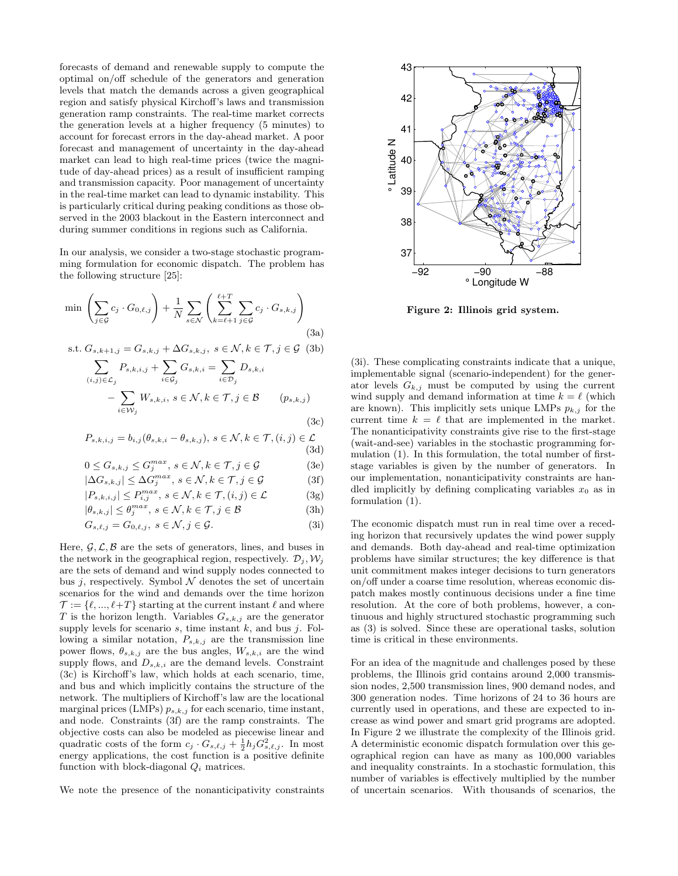forecasts of demand and renewable supply to compute the optimal on/off schedule of the generators and generation levels that match the demands across a given geographical region and satisfy physical Kirchoff's laws and transmission generation ramp constraints. The real-time market corrects the generation levels at a higher frequency (5 minutes) to account for forecast errors in the day-ahead market. A poor forecast and management of uncertainty in the day-ahead market can lead to high real-time prices (twice the magnitude of day-ahead prices) as a result of insufficient ramping and transmission capacity. Poor management of uncertainty in the real-time market can lead to dynamic instability. This is particularly critical during peaking conditions as those observed in the 2003 blackout in the Eastern interconnect and during summer conditions in regions such as California.

In our analysis, we consider a two-stage stochastic programming formulation for economic dispatch. The problem has the following structure [25]:

$$
\min \left( \sum_{j \in \mathcal{G}} c_j \cdot G_{0,\ell,j} \right) + \frac{1}{N} \sum_{s \in \mathcal{N}} \left( \sum_{k=\ell+1}^{\ell+T} \sum_{j \in \mathcal{G}} c_j \cdot G_{s,k,j} \right) \tag{3a}
$$

s.t. 
$$
G_{s,k+1,j} = G_{s,k,j} + \Delta G_{s,k,j}, s \in \mathcal{N}, k \in \mathcal{T}, j \in \mathcal{G}
$$
 (3b)  

$$
\sum P_{s,k,i,j} + \sum G_{s,k,j} = \sum D_{s,k,j}
$$

$$
\sum_{(i,j)\in\mathcal{L}_j} P_{s,k,i,j} + \sum_{i\in\mathcal{G}_j} G_{s,k,i} = \sum_{i\in\mathcal{D}_j} D_{s,k,i}
$$

$$
- \sum_{i\in\mathcal{W}_j} W_{s,k,i}, s\in\mathcal{N}, k\in\mathcal{T}, j\in\mathcal{B} \qquad (p_{s,k,j})
$$
(3c)

$$
P_{s,k,i,j} = b_{i,j}(\theta_{s,k,i} - \theta_{s,k,j}), \ s \in \mathcal{N}, k \in \mathcal{T}, (i,j) \in \mathcal{L}
$$
\n(3d)

$$
0 \le G_{s,k,j} \le G_j^{max}, \ s \in \mathcal{N}, k \in \mathcal{T}, j \in \mathcal{G}
$$
 (3e)

$$
|\Delta G_{s,k,j}| \leq \Delta G_j^{max}, \ s \in \mathcal{N}, k \in \mathcal{T}, j \in \mathcal{G}
$$
 (3f)

$$
|P_{s,k,i,j}| \le P_{i,j}^{max}, s \in \mathcal{N}, k \in \mathcal{T}, (i,j) \in \mathcal{L}
$$
 (3g)

$$
|\theta_{s,k,j}| \le \theta_j^{max}, \ s \in \mathcal{N}, k \in \mathcal{T}, j \in \mathcal{B}
$$
 (3h)

$$
G_{s,\ell,j} = G_{0,\ell,j}, \ s \in \mathcal{N}, j \in \mathcal{G}.\tag{3i}
$$

Here,  $\mathcal{G}, \mathcal{L}, \mathcal{B}$  are the sets of generators, lines, and buses in the network in the geographical region, respectively.  $\mathcal{D}_j, \mathcal{W}_j$ are the sets of demand and wind supply nodes connected to bus j, respectively. Symbol  $\mathcal N$  denotes the set of uncertain scenarios for the wind and demands over the time horizon  $\mathcal{T} := \{\ell, ..., \ell + T\}$  starting at the current instant  $\ell$  and where T is the horizon length. Variables  $G_{s,k,j}$  are the generator supply levels for scenario  $s$ , time instant  $k$ , and bus  $j$ . Following a similar notation,  $P_{s,k,j}$  are the transmission line power flows,  $\theta_{s,k,j}$  are the bus angles,  $W_{s,k,i}$  are the wind supply flows, and  $D_{s,k,i}$  are the demand levels. Constraint (3c) is Kirchoff's law, which holds at each scenario, time, and bus and which implicitly contains the structure of the network. The multipliers of Kirchoff's law are the locational marginal prices (LMPs)  $p_{s,k,j}$  for each scenario, time instant, and node. Constraints (3f) are the ramp constraints. The objective costs can also be modeled as piecewise linear and quadratic costs of the form  $c_j \cdot G_{s,\ell,j} + \frac{1}{2} h_j G_{s,\ell,j}^2$ . In most energy applications, the cost function is a positive definite function with block-diagonal  $Q_i$  matrices.

We note the presence of the nonanticipativity constraints



Figure 2: Illinois grid system.

(3i). These complicating constraints indicate that a unique, implementable signal (scenario-independent) for the generator levels  $G_{k,j}$  must be computed by using the current wind supply and demand information at time  $k = \ell$  (which are known). This implicitly sets unique LMPs  $p_{k,j}$  for the current time  $k = \ell$  that are implemented in the market. The nonanticipativity constraints give rise to the first-stage (wait-and-see) variables in the stochastic programming formulation (1). In this formulation, the total number of firststage variables is given by the number of generators. In our implementation, nonanticipativity constraints are handled implicitly by defining complicating variables  $x_0$  as in formulation (1).

The economic dispatch must run in real time over a receding horizon that recursively updates the wind power supply and demands. Both day-ahead and real-time optimization problems have similar structures; the key difference is that unit commitment makes integer decisions to turn generators on/off under a coarse time resolution, whereas economic dispatch makes mostly continuous decisions under a fine time resolution. At the core of both problems, however, a continuous and highly structured stochastic programming such as (3) is solved. Since these are operational tasks, solution time is critical in these environments.

For an idea of the magnitude and challenges posed by these problems, the Illinois grid contains around 2,000 transmission nodes, 2,500 transmission lines, 900 demand nodes, and 300 generation nodes. Time horizons of 24 to 36 hours are currently used in operations, and these are expected to increase as wind power and smart grid programs are adopted. In Figure 2 we illustrate the complexity of the Illinois grid. A deterministic economic dispatch formulation over this geographical region can have as many as 100,000 variables and inequality constraints. In a stochastic formulation, this number of variables is effectively multiplied by the number of uncertain scenarios. With thousands of scenarios, the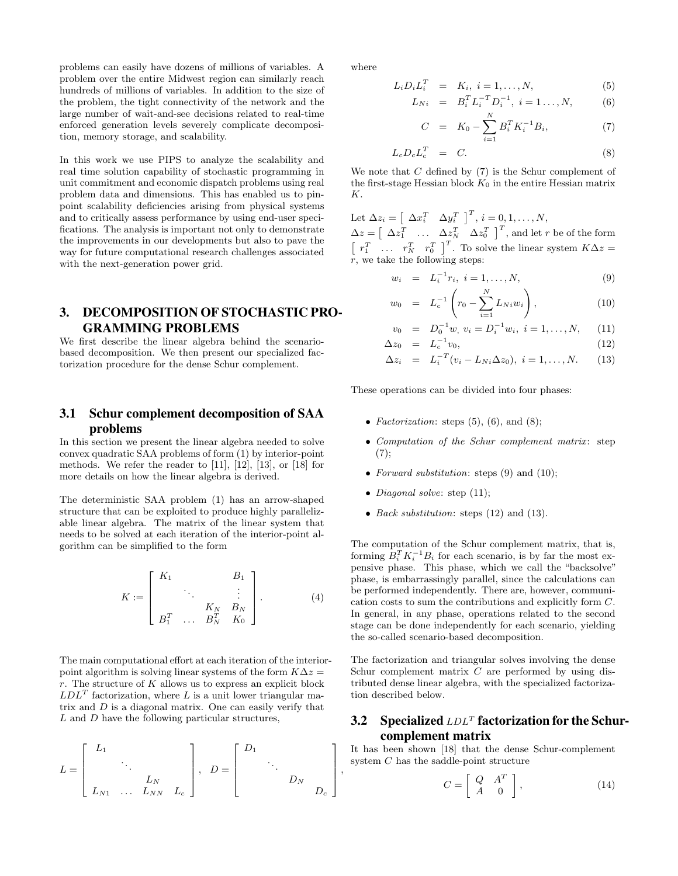problems can easily have dozens of millions of variables. A problem over the entire Midwest region can similarly reach hundreds of millions of variables. In addition to the size of the problem, the tight connectivity of the network and the large number of wait-and-see decisions related to real-time enforced generation levels severely complicate decomposition, memory storage, and scalability.

In this work we use PIPS to analyze the scalability and real time solution capability of stochastic programming in unit commitment and economic dispatch problems using real problem data and dimensions. This has enabled us to pinpoint scalability deficiencies arising from physical systems and to critically assess performance by using end-user specifications. The analysis is important not only to demonstrate the improvements in our developments but also to pave the way for future computational research challenges associated with the next-generation power grid.

# 3. DECOMPOSITION OF STOCHASTIC PRO-GRAMMING PROBLEMS

We first describe the linear algebra behind the scenariobased decomposition. We then present our specialized factorization procedure for the dense Schur complement.

# 3.1 Schur complement decomposition of SAA problems

In this section we present the linear algebra needed to solve convex quadratic SAA problems of form (1) by interior-point methods. We refer the reader to  $[11]$ ,  $[12]$ ,  $[13]$ , or  $[18]$  for more details on how the linear algebra is derived.

The deterministic SAA problem (1) has an arrow-shaped structure that can be exploited to produce highly parallelizable linear algebra. The matrix of the linear system that needs to be solved at each iteration of the interior-point algorithm can be simplified to the form

$$
K := \begin{bmatrix} K_1 & & & B_1 \\ & \ddots & & \vdots \\ & & K_N & B_N \\ B_1^T & \dots & B_N^T & K_0 \end{bmatrix} .
$$
 (4)

The main computational effort at each iteration of the interiorpoint algorithm is solving linear systems of the form  $K\Delta z =$ r. The structure of  $K$  allows us to express an explicit block  $LDL<sup>T</sup>$  factorization, where L is a unit lower triangular matrix and  $D$  is a diagonal matrix. One can easily verify that  $L$  and  $D$  have the following particular structures,

$$
L = \begin{bmatrix} L_1 & & & \\ & \ddots & & \\ & & L_N & \\ L_{N1} & \dots & L_{NN} & L_c \end{bmatrix}, \quad D = \begin{bmatrix} D_1 & & & \\ & \ddots & & \\ & & D_N & \\ & & & D_c \end{bmatrix}
$$

where

$$
L_i D_i L_i^T = K_i, i = 1, \dots, N,
$$
\n<sup>(5)</sup>

$$
L_{Ni} = B_i^T L_i^{-T} D_i^{-1}, \ i = 1..., N, \qquad (6)
$$

$$
C = K_0 - \sum_{i=1}^{N} B_i^T K_i^{-1} B_i, \tag{7}
$$

$$
L_c D_c L_c^T = C.
$$
 (8)

We note that  $C$  defined by  $(7)$  is the Schur complement of the first-stage Hessian block  $K_0$  in the entire Hessian matrix K.

Let  $\Delta z_i = \begin{bmatrix} \Delta x_i^T & \Delta y_i^T \end{bmatrix}^T$ ,  $i = 0, 1, ..., N$ ,

 $\Delta z = \begin{bmatrix} \Delta z_1^T & \dots & \Delta z_N^T & \Delta z_0^T \end{bmatrix}^T$ , and let r be of the form  $\begin{bmatrix} r_1^T & \dots & r_N^T & r_0^T \end{bmatrix}^T$ . To solve the linear system  $K\Delta z =$  $r$ , we take the following steps:

$$
w_i = L_i^{-1} r_i, \ i = 1, \dots, N,
$$
 (9)

$$
w_0 = L_c^{-1} \left( r_0 - \sum_{i=1}^N L_{Ni} w_i \right), \tag{10}
$$

$$
v_0 = D_0^{-1}w, v_i = D_i^{-1}w_i, i = 1,..., N, (11)
$$

$$
\Delta z_0 = L_c^{-1} v_0, \qquad (12)
$$

$$
\Delta z_i = L_i^{-T} (v_i - L_{Ni} \Delta z_0), \ i = 1, ..., N. \qquad (13)
$$

These operations can be divided into four phases:

- Factorization: steps  $(5)$ ,  $(6)$ , and  $(8)$ ;
- Computation of the Schur complement matrix: step  $(7):$
- Forward substitution: steps  $(9)$  and  $(10)$ ;
- *Diagonal solve*: step (11);

1  $\overline{1}$  $\mathbf{I}$  $\overline{1}$  $\overline{1}$ , • Back substitution: steps  $(12)$  and  $(13)$ .

The computation of the Schur complement matrix, that is, forming  $B_i^T K_i^{-1} B_i$  for each scenario, is by far the most expensive phase. This phase, which we call the "backsolve" phase, is embarrassingly parallel, since the calculations can be performed independently. There are, however, communication costs to sum the contributions and explicitly form C. In general, in any phase, operations related to the second stage can be done independently for each scenario, yielding the so-called scenario-based decomposition.

The factorization and triangular solves involving the dense Schur complement matrix  $C$  are performed by using distributed dense linear algebra, with the specialized factorization described below.

# 3.2 Specialized  $LDL<sup>T</sup>$  factorization for the Schurcomplement matrix

It has been shown [18] that the dense Schur-complement system  $C$  has the saddle-point structure

$$
C = \left[ \begin{array}{cc} Q & A^T \\ A & 0 \end{array} \right],\tag{14}
$$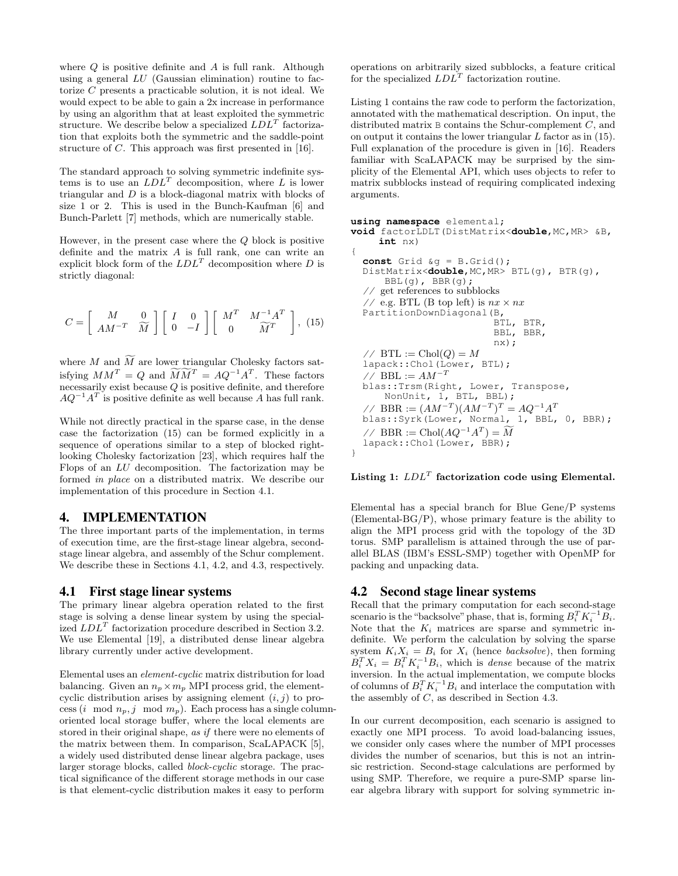where  $Q$  is positive definite and  $A$  is full rank. Although using a general LU (Gaussian elimination) routine to factorize C presents a practicable solution, it is not ideal. We would expect to be able to gain a 2x increase in performance by using an algorithm that at least exploited the symmetric structure. We describe below a specialized  $LDL<sup>T</sup>$  factorization that exploits both the symmetric and the saddle-point structure of C. This approach was first presented in [16].

The standard approach to solving symmetric indefinite systems is to use an  $LDL<sup>T</sup>$  decomposition, where L is lower triangular and D is a block-diagonal matrix with blocks of size 1 or 2. This is used in the Bunch-Kaufman [6] and Bunch-Parlett [7] methods, which are numerically stable.

However, in the present case where the  $Q$  block is positive definite and the matrix  $A$  is full rank, one can write an explicit block form of the  $LDL<sup>T</sup>$  decomposition where D is strictly diagonal:

$$
C = \begin{bmatrix} M & 0 \\ AM^{-T} & \widetilde{M} \end{bmatrix} \begin{bmatrix} I & 0 \\ 0 & -I \end{bmatrix} \begin{bmatrix} M^T & M^{-1}A^T \\ 0 & \widetilde{M}^T \end{bmatrix}, (15)
$$

where M and  $\widetilde{M}$  are lower triangular Cholesky factors satisfying  $MM^T = Q$  and  $\widetilde{M}\widetilde{M}^T = AQ^{-1}A^T$ . These factors necessarily exist because Q is positive definite, and therefore  $AQ^{-1}A^T$  is positive definite as well because A has full rank.

While not directly practical in the sparse case, in the dense case the factorization (15) can be formed explicitly in a sequence of operations similar to a step of blocked rightlooking Cholesky factorization [23], which requires half the Flops of an LU decomposition. The factorization may be formed in place on a distributed matrix. We describe our implementation of this procedure in Section 4.1.

## 4. IMPLEMENTATION

The three important parts of the implementation, in terms of execution time, are the first-stage linear algebra, secondstage linear algebra, and assembly of the Schur complement. We describe these in Sections 4.1, 4.2, and 4.3, respectively.

#### 4.1 First stage linear systems

The primary linear algebra operation related to the first stage is solving a dense linear system by using the specialized  $LDL<sup>T</sup>$  factorization procedure described in Section 3.2. We use Elemental [19], a distributed dense linear algebra library currently under active development.

Elemental uses an element-cyclic matrix distribution for load balancing. Given an  $n_p \times m_p$  MPI process grid, the elementcyclic distribution arises by assigning element  $(i, j)$  to process (i mod  $n_p$ , j mod  $m_p$ ). Each process has a single columnoriented local storage buffer, where the local elements are stored in their original shape, as if there were no elements of the matrix between them. In comparison, ScaLAPACK [5], a widely used distributed dense linear algebra package, uses larger storage blocks, called *block-cyclic* storage. The practical significance of the different storage methods in our case is that element-cyclic distribution makes it easy to perform

operations on arbitrarily sized subblocks, a feature critical for the specialized  $LDL<sup>T</sup>$  factorization routine.

Listing 1 contains the raw code to perform the factorization, annotated with the mathematical description. On input, the distributed matrix B contains the Schur-complement C, and on output it contains the lower triangular  $L$  factor as in (15). Full explanation of the procedure is given in [16]. Readers familiar with ScaLAPACK may be surprised by the simplicity of the Elemental API, which uses objects to refer to matrix subblocks instead of requiring complicated indexing arguments.

```
using namespace elemental;
void factorLDLT(DistMatrix<double,MC,MR> &B,
     int nx)
{
  const Grid &g = B.Grid();
  DistMatrix<double,MC,MR> BTL(g), BTR(g),
      BBL(g), BBR(g);
     get references to subblocks
  // e.g. BTL (B top left) is nx \times nxPartitionDownDiagonal(B,
                           BTL, BTR,
                           BBL, BBR,
                           nx);
  // BTL := Chol(Q) = Mlapack::Chol(Lower, BTL);
  // BBL := AM^{-T}blas::Trsm(Right, Lower, Transpose,
      NonUnit, 1, BTL, BBL);
  // BBR := (AM^{-T})(AM^{-T})^T = AQ^{-1}A^Tblas::Syrk(Lower, Normal, 1, BBL, 0, BBR);
  // BBR := Chol(AQ^{-1}A^T) = \widetilde{M}lapack::Chol(Lower, BBR);
```
}

#### Listing 1:  $LDL<sup>T</sup>$  factorization code using Elemental.

Elemental has a special branch for Blue Gene/P systems (Elemental-BG/P), whose primary feature is the ability to align the MPI process grid with the topology of the 3D torus. SMP parallelism is attained through the use of parallel BLAS (IBM's ESSL-SMP) together with OpenMP for packing and unpacking data.

#### 4.2 Second stage linear systems

Recall that the primary computation for each second-stage scenario is the "backsolve" phase, that is, forming  $B_i^T K_i^{-1} \overline{B_i}$ . Note that the  $K_i$  matrices are sparse and symmetric indefinite. We perform the calculation by solving the sparse system  $K_i X_i = B_i$  for  $X_i$  (hence backsolve), then forming  $B_i^T X_i = B_i^T K_i^{-1} B_i$ , which is *dense* because of the matrix inversion. In the actual implementation, we compute blocks of columns of  $B_i^T K_i^{-1} B_i$  and interlace the computation with the assembly of C, as described in Section 4.3.

In our current decomposition, each scenario is assigned to exactly one MPI process. To avoid load-balancing issues, we consider only cases where the number of MPI processes divides the number of scenarios, but this is not an intrinsic restriction. Second-stage calculations are performed by using SMP. Therefore, we require a pure-SMP sparse linear algebra library with support for solving symmetric in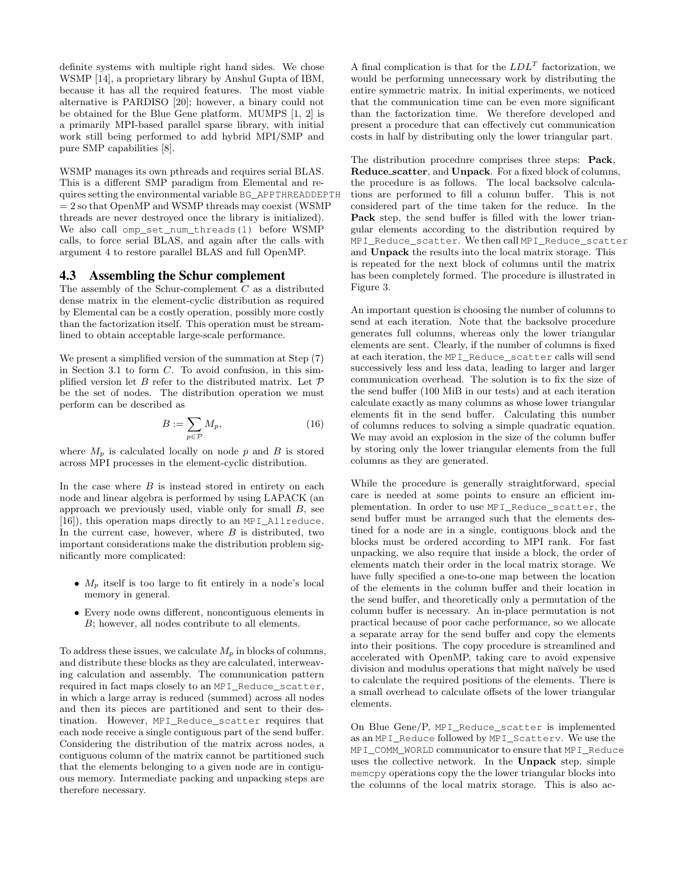definite systems with multiple right hand sides. We chose WSMP [14], a proprietary library by Anshul Gupta of IBM, because it has all the required features. The most viable alternative is PARDISO [20]; however, a binary could not be obtained for the Blue Gene platform. MUMPS [1, 2] is a primarily MPI-based parallel sparse library, with initial work still being performed to add hybrid MPI/SMP and pure SMP capabilities [8].

WSMP manages its own pthreads and requires serial BLAS. This is a different SMP paradigm from Elemental and requires setting the environmental variable BG\_APPTHREADDEPTH  $= 2$  so that OpenMP and WSMP threads may coexist (WSMP) threads are never destroyed once the library is initialized). We also call omp\_set\_num\_threads(1) before WSMP calls, to force serial BLAS, and again after the calls with argument 4 to restore parallel BLAS and full OpenMP.

#### 4.3 Assembling the Schur complement

The assembly of the Schur-complement C as a distributed dense matrix in the element-cyclic distribution as required by Elemental can be a costly operation, possibly more costly than the factorization itself. This operation must be streamlined to obtain acceptable large-scale performance.

We present a simplified version of the summation at Step (7) in Section 3.1 to form C. To avoid confusion, in this simplified version let  $B$  refer to the distributed matrix. Let  $\mathcal P$ be the set of nodes. The distribution operation we must perform can be described as

$$
B := \sum_{p \in \mathcal{P}} M_p,\tag{16}
$$

where  $M_p$  is calculated locally on node p and B is stored across MPI processes in the element-cyclic distribution.

In the case where  $B$  is instead stored in entirety on each node and linear algebra is performed by using LAPACK (an approach we previously used, viable only for small  $B$ , see [16]), this operation maps directly to an MPI\_Allreduce. In the current case, however, where  $B$  is distributed, two important considerations make the distribution problem significantly more complicated:

- $M_p$  itself is too large to fit entirely in a node's local memory in general.
- Every node owns different, noncontiguous elements in B; however, all nodes contribute to all elements.

To address these issues, we calculate  $M_p$  in blocks of columns, and distribute these blocks as they are calculated, interweaving calculation and assembly. The communication pattern required in fact maps closely to an MPI\_Reduce\_scatter, in which a large array is reduced (summed) across all nodes and then its pieces are partitioned and sent to their destination. However, MPI\_Reduce\_scatter requires that each node receive a single contiguous part of the send buffer. Considering the distribution of the matrix across nodes, a contiguous column of the matrix cannot be partitioned such that the elements belonging to a given node are in contiguous memory. Intermediate packing and unpacking steps are therefore necessary.

A final complication is that for the  $LDL<sup>T</sup>$  factorization, we would be performing unnecessary work by distributing the entire symmetric matrix. In initial experiments, we noticed that the communication time can be even more significant than the factorization time. We therefore developed and present a procedure that can effectively cut communication costs in half by distributing only the lower triangular part.

The distribution procedure comprises three steps: Pack, Reduce scatter, and Unpack. For a fixed block of columns, the procedure is as follows. The local backsolve calculations are performed to fill a column buffer. This is not considered part of the time taken for the reduce. In the Pack step, the send buffer is filled with the lower triangular elements according to the distribution required by MPI\_Reduce\_scatter. We then call MPI\_Reduce\_scatter and Unpack the results into the local matrix storage. This is repeated for the next block of columns until the matrix has been completely formed. The procedure is illustrated in Figure 3.

An important question is choosing the number of columns to send at each iteration. Note that the backsolve procedure generates full columns, whereas only the lower triangular elements are sent. Clearly, if the number of columns is fixed at each iteration, the MPI\_Reduce\_scatter calls will send successively less and less data, leading to larger and larger communication overhead. The solution is to fix the size of the send buffer (100 MiB in our tests) and at each iteration calculate exactly as many columns as whose lower triangular elements fit in the send buffer. Calculating this number of columns reduces to solving a simple quadratic equation. We may avoid an explosion in the size of the column buffer by storing only the lower triangular elements from the full columns as they are generated.

While the procedure is generally straightforward, special care is needed at some points to ensure an efficient implementation. In order to use MPI\_Reduce\_scatter, the send buffer must be arranged such that the elements destined for a node are in a single, contiguous block and the blocks must be ordered according to MPI rank. For fast unpacking, we also require that inside a block, the order of elements match their order in the local matrix storage. We have fully specified a one-to-one map between the location of the elements in the column buffer and their location in the send buffer, and theoretically only a permutation of the column buffer is necessary. An in-place permutation is not practical because of poor cache performance, so we allocate a separate array for the send buffer and copy the elements into their positions. The copy procedure is streamlined and accelerated with OpenMP, taking care to avoid expensive division and modulus operations that might naïvely be used to calculate the required positions of the elements. There is a small overhead to calculate offsets of the lower triangular elements.

On Blue Gene/P, MPI\_Reduce\_scatter is implemented as an MPI\_Reduce followed by MPI\_Scatterv. We use the MPI\_COMM\_WORLD communicator to ensure that MPI\_Reduce uses the collective network. In the Unpack step, simple memcpy operations copy the the lower triangular blocks into the columns of the local matrix storage. This is also ac-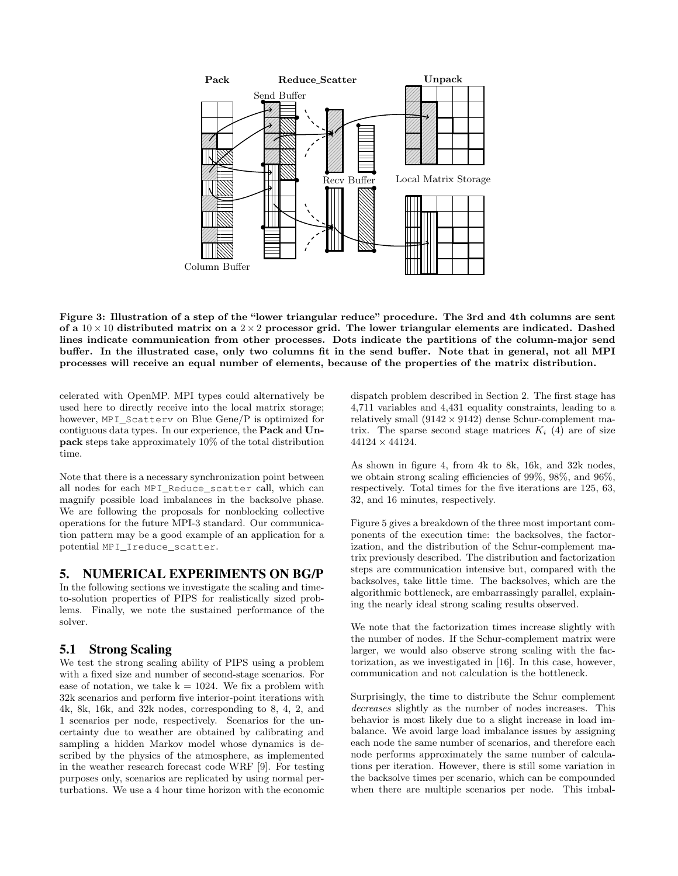

Figure 3: Illustration of a step of the "lower triangular reduce" procedure. The 3rd and 4th columns are sent of a  $10 \times 10$  distributed matrix on a  $2 \times 2$  processor grid. The lower triangular elements are indicated. Dashed lines indicate communication from other processes. Dots indicate the partitions of the column-major send buffer. In the illustrated case, only two columns fit in the send buffer. Note that in general, not all MPI processes will receive an equal number of elements, because of the properties of the matrix distribution.

celerated with OpenMP. MPI types could alternatively be used here to directly receive into the local matrix storage; however, MPI\_Scatterv on Blue Gene/P is optimized for contiguous data types. In our experience, the Pack and Unpack steps take approximately 10% of the total distribution time.

Note that there is a necessary synchronization point between all nodes for each MPI\_Reduce\_scatter call, which can magnify possible load imbalances in the backsolve phase. We are following the proposals for nonblocking collective operations for the future MPI-3 standard. Our communication pattern may be a good example of an application for a potential MPI\_Ireduce\_scatter.

## 5. NUMERICAL EXPERIMENTS ON BG/P

In the following sections we investigate the scaling and timeto-solution properties of PIPS for realistically sized problems. Finally, we note the sustained performance of the solver.

## 5.1 Strong Scaling

We test the strong scaling ability of PIPS using a problem with a fixed size and number of second-stage scenarios. For ease of notation, we take  $k = 1024$ . We fix a problem with 32k scenarios and perform five interior-point iterations with 4k, 8k, 16k, and 32k nodes, corresponding to 8, 4, 2, and 1 scenarios per node, respectively. Scenarios for the uncertainty due to weather are obtained by calibrating and sampling a hidden Markov model whose dynamics is described by the physics of the atmosphere, as implemented in the weather research forecast code WRF [9]. For testing purposes only, scenarios are replicated by using normal perturbations. We use a 4 hour time horizon with the economic

dispatch problem described in Section 2. The first stage has 4,711 variables and 4,431 equality constraints, leading to a relatively small  $(9142 \times 9142)$  dense Schur-complement matrix. The sparse second stage matrices  $K_i$  (4) are of size  $44124 \times 44124.$ 

As shown in figure 4, from 4k to 8k, 16k, and 32k nodes, we obtain strong scaling efficiencies of 99%, 98%, and 96%, respectively. Total times for the five iterations are 125, 63, 32, and 16 minutes, respectively.

Figure 5 gives a breakdown of the three most important components of the execution time: the backsolves, the factorization, and the distribution of the Schur-complement matrix previously described. The distribution and factorization steps are communication intensive but, compared with the backsolves, take little time. The backsolves, which are the algorithmic bottleneck, are embarrassingly parallel, explaining the nearly ideal strong scaling results observed.

We note that the factorization times increase slightly with the number of nodes. If the Schur-complement matrix were larger, we would also observe strong scaling with the factorization, as we investigated in [16]. In this case, however, communication and not calculation is the bottleneck.

Surprisingly, the time to distribute the Schur complement decreases slightly as the number of nodes increases. This behavior is most likely due to a slight increase in load imbalance. We avoid large load imbalance issues by assigning each node the same number of scenarios, and therefore each node performs approximately the same number of calculations per iteration. However, there is still some variation in the backsolve times per scenario, which can be compounded when there are multiple scenarios per node. This imbal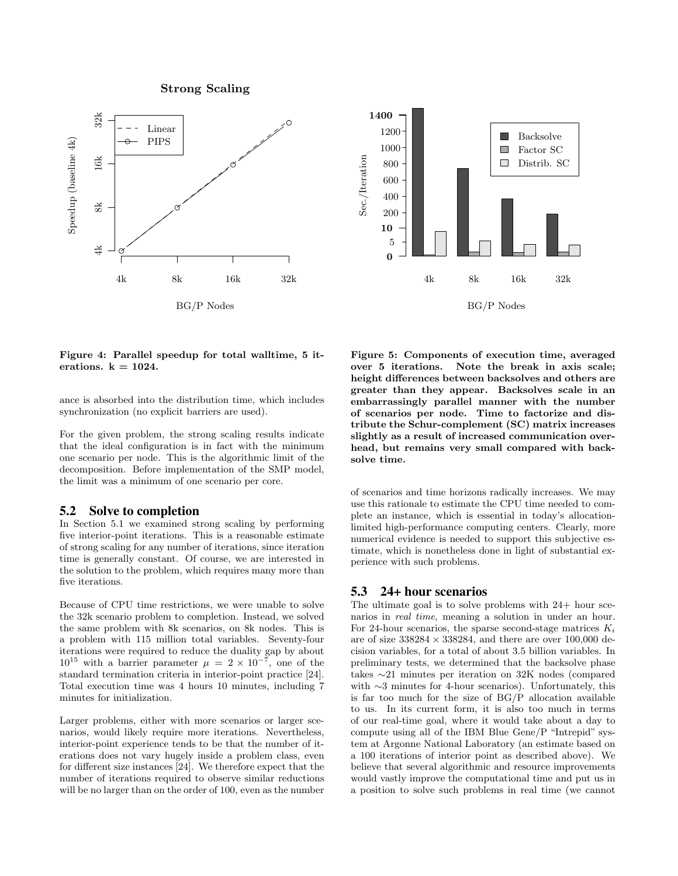Strong Scaling





Figure 4: Parallel speedup for total walltime, 5 iterations.  $k = 1024$ .

ance is absorbed into the distribution time, which includes synchronization (no explicit barriers are used).

For the given problem, the strong scaling results indicate that the ideal configuration is in fact with the minimum one scenario per node. This is the algorithmic limit of the decomposition. Before implementation of the SMP model, the limit was a minimum of one scenario per core.

#### 5.2 Solve to completion

In Section 5.1 we examined strong scaling by performing five interior-point iterations. This is a reasonable estimate of strong scaling for any number of iterations, since iteration time is generally constant. Of course, we are interested in the solution to the problem, which requires many more than five iterations.

Because of CPU time restrictions, we were unable to solve the 32k scenario problem to completion. Instead, we solved the same problem with 8k scenarios, on 8k nodes. This is a problem with 115 million total variables. Seventy-four iterations were required to reduce the duality gap by about  $10^{15}$  with a barrier parameter  $\mu = 2 \times 10^{-7}$ , one of the standard termination criteria in interior-point practice [24]. Total execution time was 4 hours 10 minutes, including 7 minutes for initialization.

Larger problems, either with more scenarios or larger scenarios, would likely require more iterations. Nevertheless, interior-point experience tends to be that the number of iterations does not vary hugely inside a problem class, even for different size instances [24]. We therefore expect that the number of iterations required to observe similar reductions will be no larger than on the order of 100, even as the number

Figure 5: Components of execution time, averaged over 5 iterations. Note the break in axis scale; height differences between backsolves and others are greater than they appear. Backsolves scale in an embarrassingly parallel manner with the number of scenarios per node. Time to factorize and distribute the Schur-complement (SC) matrix increases slightly as a result of increased communication overhead, but remains very small compared with backsolve time.

of scenarios and time horizons radically increases. We may use this rationale to estimate the CPU time needed to complete an instance, which is essential in today's allocationlimited high-performance computing centers. Clearly, more numerical evidence is needed to support this subjective estimate, which is nonetheless done in light of substantial experience with such problems.

#### 5.3 24+ hour scenarios

The ultimate goal is to solve problems with 24+ hour scenarios in real time, meaning a solution in under an hour. For 24-hour scenarios, the sparse second-stage matrices  $K_i$ are of size  $338284 \times 338284$ , and there are over  $100,000$  decision variables, for a total of about 3.5 billion variables. In preliminary tests, we determined that the backsolve phase takes ∼21 minutes per iteration on 32K nodes (compared with ∼3 minutes for 4-hour scenarios). Unfortunately, this is far too much for the size of BG/P allocation available to us. In its current form, it is also too much in terms of our real-time goal, where it would take about a day to compute using all of the IBM Blue Gene/P "Intrepid" system at Argonne National Laboratory (an estimate based on a 100 iterations of interior point as described above). We believe that several algorithmic and resource improvements would vastly improve the computational time and put us in a position to solve such problems in real time (we cannot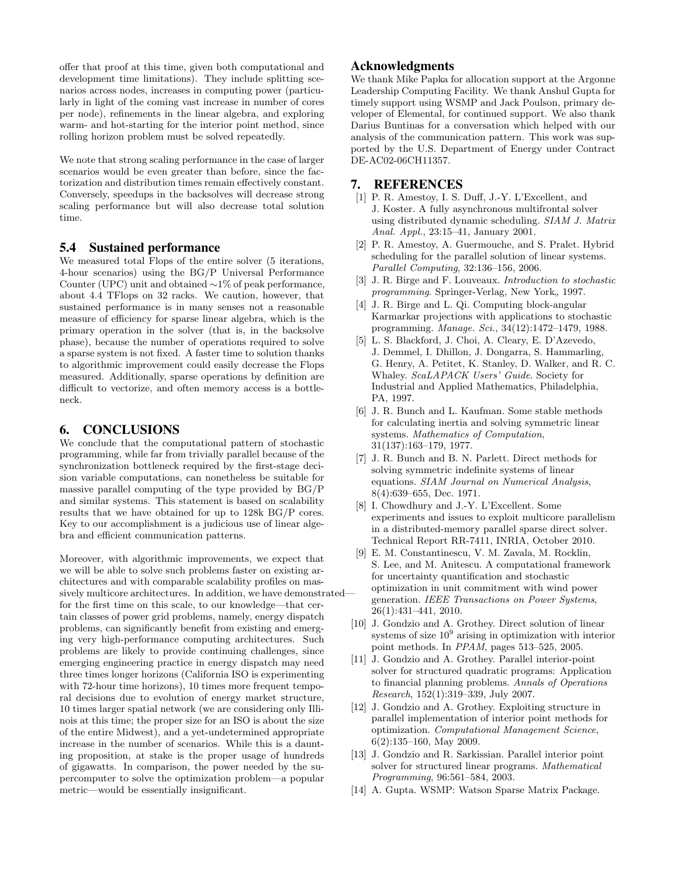offer that proof at this time, given both computational and development time limitations). They include splitting scenarios across nodes, increases in computing power (particularly in light of the coming vast increase in number of cores per node), refinements in the linear algebra, and exploring warm- and hot-starting for the interior point method, since rolling horizon problem must be solved repeatedly.

We note that strong scaling performance in the case of larger scenarios would be even greater than before, since the factorization and distribution times remain effectively constant. Conversely, speedups in the backsolves will decrease strong scaling performance but will also decrease total solution time.

#### 5.4 Sustained performance

We measured total Flops of the entire solver (5 iterations, 4-hour scenarios) using the BG/P Universal Performance Counter (UPC) unit and obtained ∼1% of peak performance, about 4.4 TFlops on 32 racks. We caution, however, that sustained performance is in many senses not a reasonable measure of efficiency for sparse linear algebra, which is the primary operation in the solver (that is, in the backsolve phase), because the number of operations required to solve a sparse system is not fixed. A faster time to solution thanks to algorithmic improvement could easily decrease the Flops measured. Additionally, sparse operations by definition are difficult to vectorize, and often memory access is a bottleneck.

## 6. CONCLUSIONS

We conclude that the computational pattern of stochastic programming, while far from trivially parallel because of the synchronization bottleneck required by the first-stage decision variable computations, can nonetheless be suitable for massive parallel computing of the type provided by BG/P and similar systems. This statement is based on scalability results that we have obtained for up to 128k BG/P cores. Key to our accomplishment is a judicious use of linear algebra and efficient communication patterns.

Moreover, with algorithmic improvements, we expect that we will be able to solve such problems faster on existing architectures and with comparable scalability profiles on massively multicore architectures. In addition, we have demonstrated for the first time on this scale, to our knowledge—that certain classes of power grid problems, namely, energy dispatch problems, can significantly benefit from existing and emerging very high-performance computing architectures. Such problems are likely to provide continuing challenges, since emerging engineering practice in energy dispatch may need three times longer horizons (California ISO is experimenting with 72-hour time horizons), 10 times more frequent temporal decisions due to evolution of energy market structure, 10 times larger spatial network (we are considering only Illinois at this time; the proper size for an ISO is about the size of the entire Midwest), and a yet-undetermined appropriate increase in the number of scenarios. While this is a daunting proposition, at stake is the proper usage of hundreds of gigawatts. In comparison, the power needed by the supercomputer to solve the optimization problem—a popular metric—would be essentially insignificant.

## Acknowledgments

We thank Mike Papka for allocation support at the Argonne Leadership Computing Facility. We thank Anshul Gupta for timely support using WSMP and Jack Poulson, primary developer of Elemental, for continued support. We also thank Darius Buntinas for a conversation which helped with our analysis of the communication pattern. This work was supported by the U.S. Department of Energy under Contract DE-AC02-06CH11357.

#### 7. REFERENCES

- [1] P. R. Amestoy, I. S. Duff, J.-Y. L'Excellent, and J. Koster. A fully asynchronous multifrontal solver using distributed dynamic scheduling. SIAM J. Matrix Anal. Appl., 23:15–41, January 2001.
- [2] P. R. Amestoy, A. Guermouche, and S. Pralet. Hybrid scheduling for the parallel solution of linear systems. Parallel Computing, 32:136–156, 2006.
- [3] J. R. Birge and F. Louveaux. Introduction to stochastic programming. Springer-Verlag, New York, 1997.
- [4] J. R. Birge and L. Qi. Computing block-angular Karmarkar projections with applications to stochastic programming. Manage. Sci., 34(12):1472–1479, 1988.
- [5] L. S. Blackford, J. Choi, A. Cleary, E. D'Azevedo, J. Demmel, I. Dhillon, J. Dongarra, S. Hammarling, G. Henry, A. Petitet, K. Stanley, D. Walker, and R. C. Whaley. ScaLAPACK Users' Guide. Society for Industrial and Applied Mathematics, Philadelphia, PA, 1997.
- [6] J. R. Bunch and L. Kaufman. Some stable methods for calculating inertia and solving symmetric linear systems. Mathematics of Computation, 31(137):163–179, 1977.
- [7] J. R. Bunch and B. N. Parlett. Direct methods for solving symmetric indefinite systems of linear equations. SIAM Journal on Numerical Analysis, 8(4):639–655, Dec. 1971.
- [8] I. Chowdhury and J.-Y. L'Excellent. Some experiments and issues to exploit multicore parallelism in a distributed-memory parallel sparse direct solver. Technical Report RR-7411, INRIA, October 2010.
- [9] E. M. Constantinescu, V. M. Zavala, M. Rocklin, S. Lee, and M. Anitescu. A computational framework for uncertainty quantification and stochastic optimization in unit commitment with wind power generation. IEEE Transactions on Power Systems, 26(1):431–441, 2010.
- [10] J. Gondzio and A. Grothey. Direct solution of linear systems of size  $10<sup>9</sup>$  arising in optimization with interior point methods. In PPAM, pages 513–525, 2005.
- [11] J. Gondzio and A. Grothey. Parallel interior-point solver for structured quadratic programs: Application to financial planning problems. Annals of Operations Research, 152(1):319–339, July 2007.
- [12] J. Gondzio and A. Grothey. Exploiting structure in parallel implementation of interior point methods for optimization. Computational Management Science, 6(2):135–160, May 2009.
- [13] J. Gondzio and R. Sarkissian. Parallel interior point solver for structured linear programs. Mathematical Programming, 96:561–584, 2003.
- [14] A. Gupta. WSMP: Watson Sparse Matrix Package.